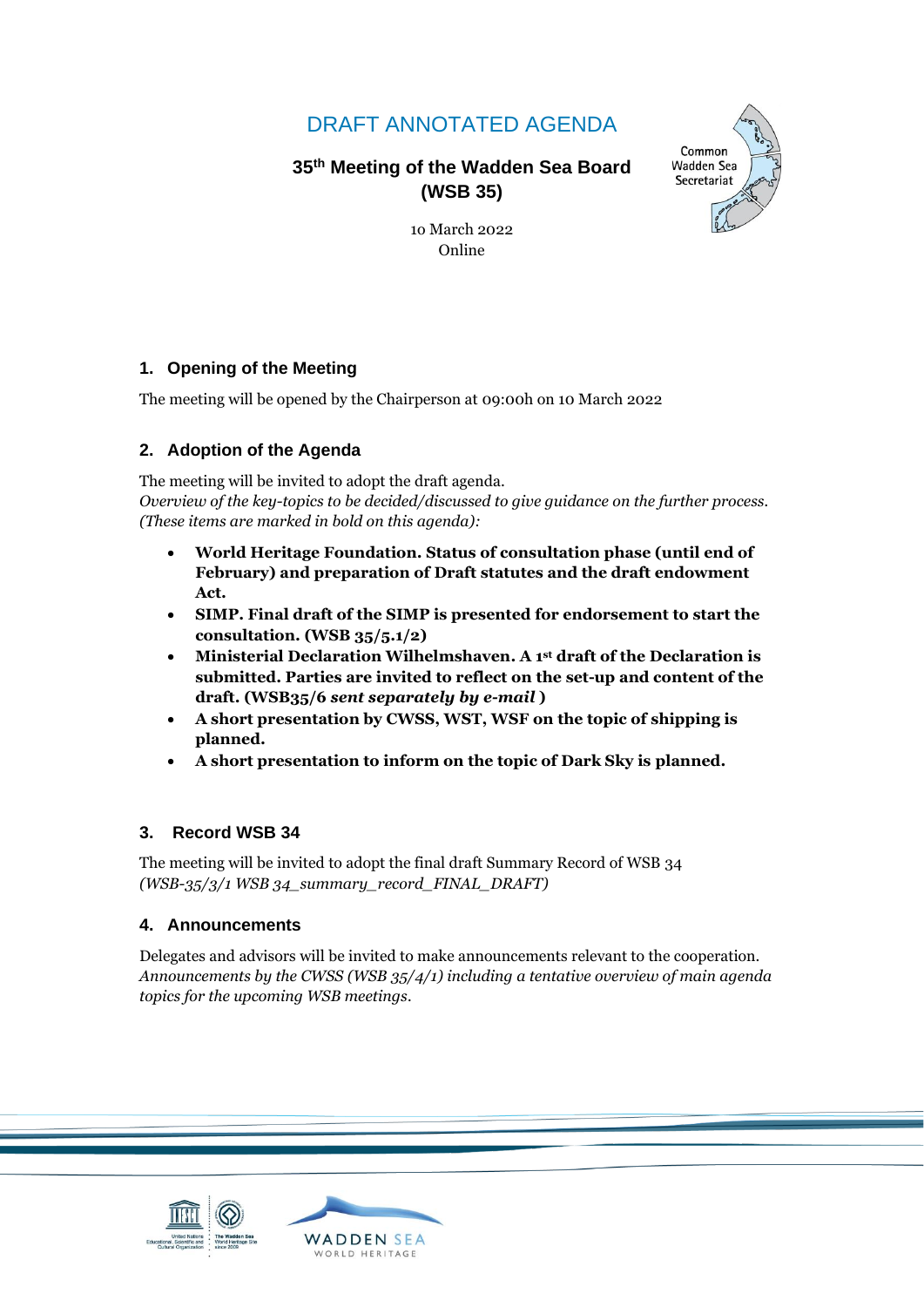# DRAFT ANNOTATED AGENDA

**35 th Meeting of the Wadden Sea Board (WSB 35)** 



1o March 2022 Online

### **1. Opening of the Meeting**

The meeting will be opened by the Chairperson at 09:00h on 10 March 2022

### **2. Adoption of the Agenda**

The meeting will be invited to adopt the draft agenda. *Overview of the key-topics to be decided/discussed to give guidance on the further process. (These items are marked in bold on this agenda):*

- **World Heritage Foundation. Status of consultation phase (until end of February) and preparation of Draft statutes and the draft endowment Act.**
- **SIMP. Final draft of the SIMP is presented for endorsement to start the consultation. (WSB 35/5.1/2)**
- **Ministerial Declaration Wilhelmshaven. A 1st draft of the Declaration is submitted. Parties are invited to reflect on the set-up and content of the draft. (WSB35/6** *sent separately by e-mail* **)**
- **A short presentation by CWSS, WST, WSF on the topic of shipping is planned.**
- **A short presentation to inform on the topic of Dark Sky is planned.**

### **3. Record WSB 34**

The meeting will be invited to adopt the final draft Summary Record of WSB 34 *(WSB-35/3/1 WSB 34\_summary\_record\_FINAL\_DRAFT)*

### **4. Announcements**

Delegates and advisors will be invited to make announcements relevant to the cooperation. *Announcements by the CWSS (WSB 35/4/1) including a tentative overview of main agenda topics for the upcoming WSB meetings.*

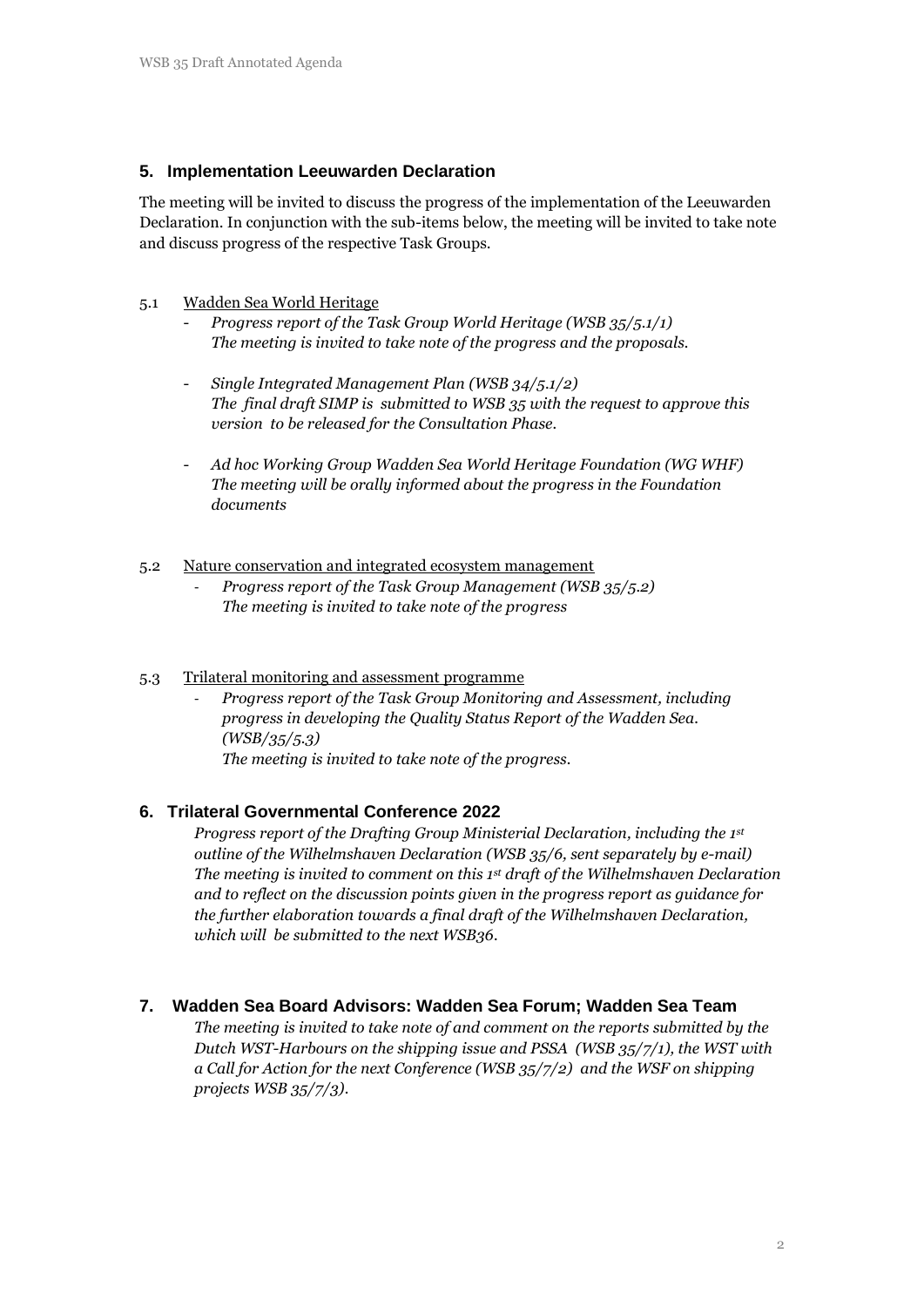### **5. Implementation Leeuwarden Declaration**

The meeting will be invited to discuss the progress of the implementation of the Leeuwarden Declaration. In conjunction with the sub-items below, the meeting will be invited to take note and discuss progress of the respective Task Groups.

#### 5.1 Wadden Sea World Heritage

- *Progress report of the Task Group World Heritage (WSB 35/5.1/1) The meeting is invited to take note of the progress and the proposals.*
- *Single Integrated Management Plan (WSB 34/5.1/2) The final draft SIMP is submitted to WSB 35 with the request to approve this version to be released for the Consultation Phase.*
- *Ad hoc Working Group Wadden Sea World Heritage Foundation (WG WHF) The meeting will be orally informed about the progress in the Foundation documents*

#### 5.2 Nature conservation and integrated ecosystem management

- *Progress report of the Task Group Management (WSB 35/5.2) The meeting is invited to take note of the progress*

#### 5.3 Trilateral monitoring and assessment programme

- *Progress report of the Task Group Monitoring and Assessment, including progress in developing the Quality Status Report of the Wadden Sea. (WSB/35/5.3) The meeting is invited to take note of the progress.*

#### **6. Trilateral Governmental Conference 2022**

*Progress report of the Drafting Group Ministerial Declaration, including the 1st outline of the Wilhelmshaven Declaration (WSB 35/6, sent separately by e-mail) The meeting is invited to comment on this 1st draft of the Wilhelmshaven Declaration and to reflect on the discussion points given in the progress report as guidance for the further elaboration towards a final draft of the Wilhelmshaven Declaration, which will be submitted to the next WSB36.* 

#### **7. Wadden Sea Board Advisors: Wadden Sea Forum; Wadden Sea Team**

*The meeting is invited to take note of and comment on the reports submitted by the Dutch WST-Harbours on the shipping issue and PSSA (WSB 35/7/1), the WST with a Call for Action for the next Conference (WSB 35/7/2) and the WSF on shipping projects WSB 35/7/3).*